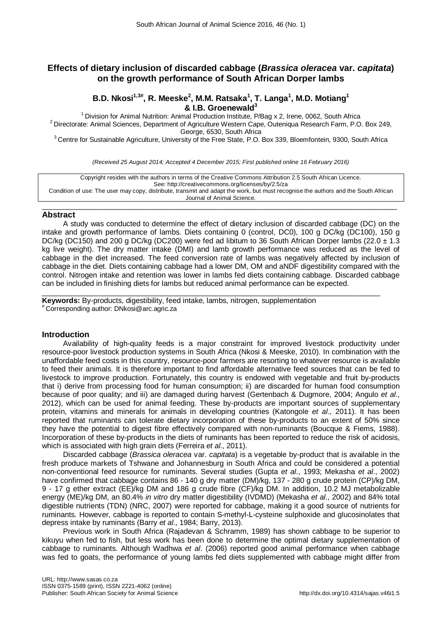# **Effects of dietary inclusion of discarded cabbage (***Brassica oleracea* **var.** *capitata***) on the growth performance of South African Dorper lambs**

# **B.D. Nkosi1,3# , R. Meeske<sup>2</sup> , M.M. Ratsaka<sup>1</sup> , T. Langa<sup>1</sup> , M.D. Motiang1**

**& I.B. Groenewald<sup>3</sup><br><sup>1</sup> Division for Animal Nutrition: Animal Production Institute, P/Bag x 2, Irene, 0062, South Africa<sup>1</sup>** <sup>2</sup> Directorate: Animal Sciences, Department of Agriculture Western Cape, Outeniqua Research Farm, P.O. Box 249,<br>George, 6530, South Africa

<sup>3</sup> Centre for Sustainable Agriculture, University of the Free State, P.O. Box 339, Bloemfontein, 9300, South Africa

*(Received 25 August 2014; Accepted 4 December 2015; First published online 16 February 2016)*

Copyright resides with the authors in terms of the Creative Commons Attribution 2.5 South African Licence. See: http://creativecommons.org/licenses/by/2.5/za Condition of use: The user may copy, distribute, transmit and adapt the work, but must recognise the authors and the South African Journal of Animal Science.

#### $\_$  , and the set of the set of the set of the set of the set of the set of the set of the set of the set of the set of the set of the set of the set of the set of the set of the set of the set of the set of the set of th **Abstract**

A study was conducted to determine the effect of dietary inclusion of discarded cabbage (DC) on the intake and growth performance of lambs. Diets containing 0 (control, DC0), 100 g DC/kg (DC100), 150 g DC/kg (DC150) and 200 g DC/kg (DC200) were fed ad libitum to 36 South African Dorper lambs (22.0  $\pm$  1.3 kg live weight). The dry matter intake (DMI) and lamb growth performance was reduced as the level of cabbage in the diet increased. The feed conversion rate of lambs was negatively affected by inclusion of cabbage in the diet. Diets containing cabbage had a lower DM, OM and aNDF digestibility compared with the control. Nitrogen intake and retention was lower in lambs fed diets containing cabbage. Discarded cabbage can be included in finishing diets for lambs but reduced animal performance can be expected.

\_\_\_\_\_\_\_\_\_\_\_\_\_\_\_\_\_\_\_\_\_\_\_\_\_\_\_\_\_\_\_\_\_\_\_\_\_\_\_\_\_\_\_\_\_\_\_\_\_\_\_\_\_\_\_\_\_\_\_\_\_\_\_\_\_\_\_\_\_\_\_\_\_\_\_\_\_\_\_\_\_\_ **Keywords:** By-products, digestibility, feed intake, lambs, nitrogen, supplementation<br><sup>#</sup> Corresponding author: DNkosi@arc.agric.za

## **Introduction**

Availability of high-quality feeds is a major constraint for improved livestock productivity under resource-poor livestock production systems in South Africa (Nkosi & Meeske, 2010). In combination with the unaffordable feed costs in this country, resource-poor farmers are resorting to whatever resource is available to feed their animals. It is therefore important to find affordable alternative feed sources that can be fed to livestock to improve production. Fortunately, this country is endowed with vegetable and fruit by-products that i) derive from processing food for human consumption; ii) are discarded for human food consumption because of poor quality; and iii) are damaged during harvest (Gertenbach & Dugmore, 2004; Angulo *et al*., 2012), which can be used for animal feeding. These by-products are important sources of supplementary protein, vitamins and minerals for animals in developing countries (Katongole *et al*., 2011). It has been reported that ruminants can tolerate dietary incorporation of these by-products to an extent of 50% since they have the potential to digest fibre effectively compared with non-ruminants (Boucque & Fiems, 1988). Incorporation of these by-products in the diets of ruminants has been reported to reduce the risk of acidosis, which is associated with high grain diets (Ferreira *et al*., 2011).

Discarded cabbage (*Brassica oleracea* var. *capitata*) is a vegetable by-product that is available in the fresh produce markets of Tshwane and Johannesburg in South Africa and could be considered a potential non-conventional feed resource for ruminants. Several studies (Gupta *et al*., 1993; Mekasha *et al*., 2002) have confirmed that cabbage contains 86 - 140 g dry matter (DM)/kg, 137 - 280 g crude protein (CP)/kg DM, 9 - 17 g ether extract (EE)/kg DM and 186 g crude fibre (CF)/kg DM. In addition, 10.2 MJ metabolizable energy (ME)/kg DM, an 80.4% *in vitro* dry matter digestibility (IVDMD) (Mekasha *et al*., 2002) and 84% total digestible nutrients (TDN) (NRC, 2007) were reported for cabbage, making it a good source of nutrients for ruminants. However, cabbage is reported to contain S-methyl-L-cysteine sulphoxide and glucosinolates that depress intake by ruminants (Barry *et al*., 1984; Barry, 2013).

Previous work in South Africa (Rajadevan & Schramm, 1989) has shown cabbage to be superior to kikuyu when fed to fish, but less work has been done to determine the optimal dietary supplementation of cabbage to ruminants. Although Wadhwa *et al*. (2006) reported good animal performance when cabbage was fed to goats, the performance of young lambs fed diets supplemented with cabbage might differ from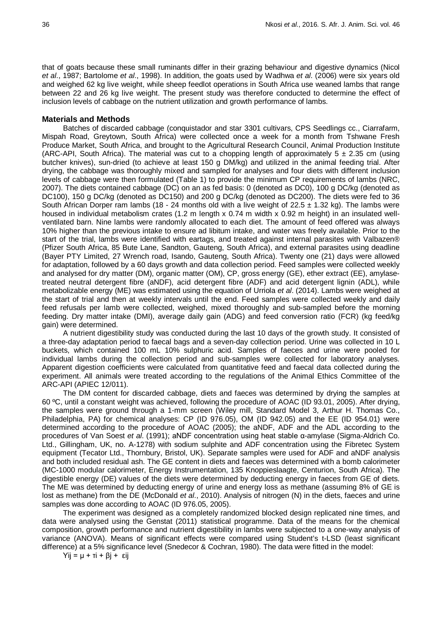that of goats because these small ruminants differ in their grazing behaviour and digestive dynamics (Nicol *et al*., 1987; Bartolome *et al*., 1998). In addition, the goats used by Wadhwa *et al*. (2006) were six years old and weighed 62 kg live weight, while sheep feedlot operations in South Africa use weaned lambs that range between 22 and 26 kg live weight. The present study was therefore conducted to determine the effect of inclusion levels of cabbage on the nutrient utilization and growth performance of lambs.

## **Materials and Methods**

Batches of discarded cabbage (conquistador and star 3301 cultivars, CPS Seedlings cc., Ciarrafarm, Mispah Road, Greytown, South Africa) were collected once a week for a month from Tshwane Fresh Produce Market, South Africa, and brought to the Agricultural Research Council, Animal Production Institute (ARC-API, South Africa). The material was cut to a chopping length of approximately  $5 \pm 2.35$  cm (using butcher knives), sun-dried (to achieve at least 150 g DM/kg) and utilized in the animal feeding trial. After drying, the cabbage was thoroughly mixed and sampled for analyses and four diets with different inclusion levels of cabbage were then formulated (Table 1) to provide the minimum CP requirements of lambs (NRC, 2007). The diets contained cabbage (DC) on an as fed basis: 0 (denoted as DC0), 100 g DC/kg (denoted as DC100), 150 g DC/kg (denoted as DC150) and 200 g DC/kg (denoted as DC200). The diets were fed to 36 South African Dorper ram lambs (18 - 24 months old with a live weight of 22.5  $\pm$  1.32 kg). The lambs were housed in individual metabolism crates (1.2 m length x 0.74 m width x 0.92 m height) in an insulated wellventilated barn. Nine lambs were randomly allocated to each diet. The amount of feed offered was always 10% higher than the previous intake to ensure ad libitum intake, and water was freely available. Prior to the start of the trial, lambs were identified with eartags, and treated against internal parasites with Valbazen® (Pfizer South Africa, 85 Bute Lane, Sandton, Gauteng, South Africa), and external parasites using deadline (Bayer PTY Limited, 27 Wrench road, Isando, Gauteng, South Africa). Twenty one (21) days were allowed for adaptation, followed by a 60 days growth and data collection period. Feed samples were collected weekly and analysed for dry matter (DM), organic matter (OM), CP, gross energy (GE), ether extract (EE), amylasetreated neutral detergent fibre (aNDF), acid detergent fibre (ADF) and acid detergent lignin (ADL), while metabolizable energy (ME) was estimated using the equation of Urriola *et al*. (2014). Lambs were weighed at the start of trial and then at weekly intervals until the end. Feed samples were collected weekly and daily feed refusals per lamb were collected, weighed, mixed thoroughly and sub-sampled before the morning feeding. Dry matter intake (DMI), average daily gain (ADG) and feed conversion ratio (FCR) (kg feed/kg gain) were determined.

A nutrient digestibility study was conducted during the last 10 days of the growth study. It consisted of a three-day adaptation period to faecal bags and a seven-day collection period. Urine was collected in 10 L buckets, which contained 100 mL 10% sulphuric acid. Samples of faeces and urine were pooled for individual lambs during the collection period and sub-samples were collected for laboratory analyses. Apparent digestion coefficients were calculated from quantitative feed and faecal data collected during the experiment. All animals were treated according to the regulations of the Animal Ethics Committee of the ARC-API (APIEC 12/011).

The DM content for discarded cabbage, diets and faeces was determined by drying the samples at 60 ºC, until a constant weight was achieved, following the procedure of AOAC (ID 93.01, 2005). After drying, the samples were ground through a 1-mm screen (Wiley mill, Standard Model 3, Arthur H. Thomas Co., Philadelphia, PA) for chemical analyses: CP (ID 976.05), OM (ID 942.05) and the EE (ID 954.01) were determined according to the procedure of AOAC (2005); the aNDF, ADF and the ADL according to the procedures of Van Soest *et al*. (1991); aNDF concentration using heat stable α-amylase (Sigma-Aldrich Co. Ltd., Gillingham, UK, no. A-1278) with sodium sulphite and ADF concentration using the Fibretec System equipment (Tecator Ltd., Thornbury, Bristol, UK). Separate samples were used for ADF and aNDF analysis and both included residual ash. The GE content in diets and faeces was determined with a bomb calorimeter (MC-1000 modular calorimeter, Energy Instrumentation, 135 Knoppieslaagte, Centurion, South Africa). The digestible energy (DE) values of the diets were determined by deducting energy in faeces from GE of diets. The ME was determined by deducting energy of urine and energy loss as methane (assuming 8% of GE is lost as methane) from the DE (McDonald *et al*., 2010). Analysis of nitrogen (N) in the diets, faeces and urine samples was done according to AOAC (ID 976.05, 2005).

The experiment was designed as a completely randomized blocked design replicated nine times, and data were analysed using the Genstat (2011) statistical programme. Data of the means for the chemical composition, growth performance and nutrient digestibility in lambs were subjected to a one-way analysis of variance (ANOVA). Means of significant effects were compared using Student's t-LSD (least significant difference) at a 5% significance level (Snedecor & Cochran, 1980). The data were fitted in the model:

Yij = µ + τi + βj + εij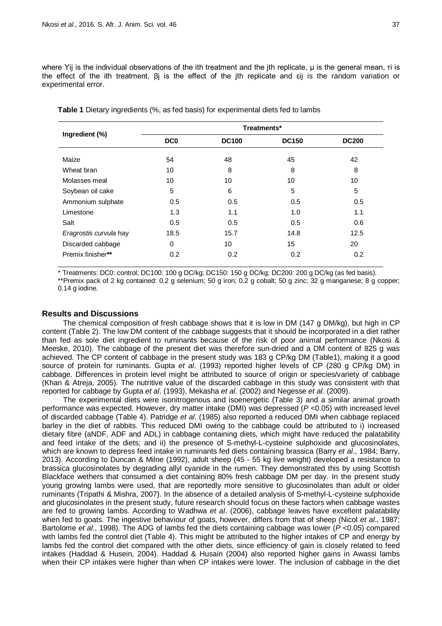where Yij is the individual observations of the ith treatment and the jth replicate, μ is the general mean, τi is the effect of the ith treatment, βj is the effect of the jth replicate and εij is the random variation or experimental error.

|                        | Treatments*     |              |              |              |  |  |
|------------------------|-----------------|--------------|--------------|--------------|--|--|
| Ingredient (%)         | DC <sub>0</sub> | <b>DC100</b> | <b>DC150</b> | <b>DC200</b> |  |  |
| Maize                  | 54              | 48           | 45           | 42           |  |  |
| Wheat bran             | 10              | 8            | 8            | 8            |  |  |
| Molasses meal          | 10              | 10           | 10           | 10           |  |  |
| Soybean oil cake       | 5               | 6            | 5            | 5            |  |  |
| Ammonium sulphate      | 0.5             | 0.5          | 0.5          | 0.5          |  |  |
| Limestone              | 1.3             | 1.1          | 1.0          | 1.1          |  |  |
| Salt                   | 0.5             | 0.5          | 0.5          | 0.6          |  |  |
| Eragrostis curvula hay | 18.5            | 15.7         | 14.8         | 12.5         |  |  |
| Discarded cabbage      | $\Omega$        | 10           | 15           | 20           |  |  |
| Premix finisher**      | 0.2             | 0.2          | 0.2          | 0.2          |  |  |

**Table 1** Dietary ingredients (%, as fed basis) for experimental diets fed to lambs

\* Treatments: DC0: control; DC100: 100 g DC/kg; DC150: 150 g DC/kg; DC200: 200 g DC/kg (as fed basis).

\*\*Premix pack of 2 kg contained: 0.2 g selenium; 50 g iron; 0.2 g cobalt; 50 g zinc; 32 g manganese; 8 g copper; 0.14 g iodine.

# **Results and Discussions**

The chemical composition of fresh cabbage shows that it is low in DM (147 g DM/kg), but high in CP content (Table 2). The low DM content of the cabbage suggests that it should be incorporated in a diet rather than fed as sole diet ingredient to ruminants because of the risk of poor animal performance (Nkosi & Meeske, 2010). The cabbage of the present diet was therefore sun-dried and a DM content of 825 g was achieved. The CP content of cabbage in the present study was 183 g CP/kg DM (Table1), making it a good source of protein for ruminants. Gupta *et al*. (1993) reported higher levels of CP (280 g CP/kg DM) in cabbage. Differences in protein level might be attributed to source of origin or species/variety of cabbage (Khan & Atreja, 2005). The nutritive value of the discarded cabbage in this study was consistent with that reported for cabbage by Gupta *et al*. (1993), Mekasha *et al*. (2002) and Negesse *et al*. (2009).

The experimental diets were isonitrogenous and isoenergetic (Table 3) and a similar animal growth performance was expected. However, dry matter intake (DMI) was depressed (*P* <0.05) with increased level of discarded cabbage (Table 4). Patridge *et al*. (1985) also reported a reduced DMI when cabbage replaced barley in the diet of rabbits. This reduced DMI owing to the cabbage could be attributed to i) increased dietary fibre (aNDF, ADF and ADL) in cabbage containing diets, which might have reduced the palatability and feed intake of the diets; and ii) the presence of S-methyl-L-cysteine sulphoxide and glucosinolates, which are known to depress feed intake in ruminants fed diets containing brassica (Barry *et al*., 1984; Barry, 2013). According to Duncan & Milne (1992), adult sheep (45 - 55 kg live weight) developed a resistance to brassica glucosinolates by degrading allyl cyanide in the rumen. They demonstrated this by using Scottish Blackface wethers that consumed a diet containing 80% fresh cabbage DM per day. In the present study young growing lambs were used, that are reportedly more sensitive to glucosinolates than adult or older ruminants (Tripathi & Mishra, 2007). In the absence of a detailed analysis of S-methyl-L-cysteine sulphoxide and glucosinolates in the present study, future research should focus on these factors when cabbage wastes are fed to growing lambs. According to Wadhwa *et al*. (2006), cabbage leaves have excellent palatability when fed to goats. The ingestive behaviour of goats, however, differs from that of sheep (Nicol *et al*., 1987; Bartolome *et al*., 1998). The ADG of lambs fed the diets containing cabbage was lower (*P* <0.05) compared with lambs fed the control diet (Table 4). This might be attributed to the higher intakes of CP and energy by lambs fed the control diet compared with the other diets, since efficiency of gain is closely related to feed intakes (Haddad & Husein, 2004). Haddad & Husain (2004) also reported higher gains in Awassi lambs when their CP intakes were higher than when CP intakes were lower. The inclusion of cabbage in the diet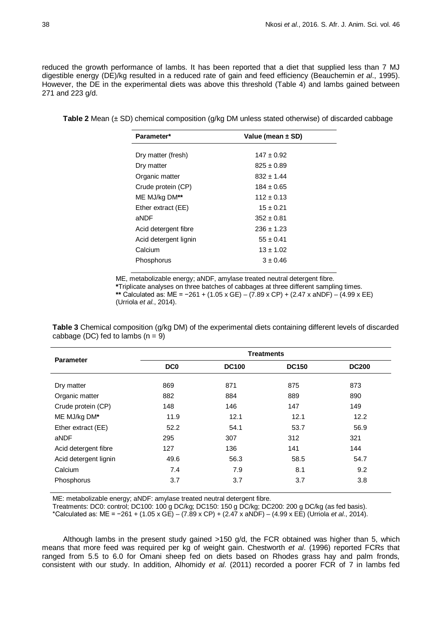reduced the growth performance of lambs. It has been reported that a diet that supplied less than 7 MJ digestible energy (DE)/kg resulted in a reduced rate of gain and feed efficiency (Beauchemin *et al*., 1995). However, the DE in the experimental diets was above this threshold (Table 4) and lambs gained between 271 and 223 g/d.

**Table 2** Mean (± SD) chemical composition (g/kg DM unless stated otherwise) of discarded cabbage

| Parameter*            | Value (mean ± SD) |  |  |
|-----------------------|-------------------|--|--|
|                       |                   |  |  |
| Dry matter (fresh)    | $147 \pm 0.92$    |  |  |
| Dry matter            | $825 \pm 0.89$    |  |  |
| Organic matter        | $832 \pm 1.44$    |  |  |
| Crude protein (CP)    | $184 \pm 0.65$    |  |  |
| ME MJ/kg DM**         | $112 \pm 0.13$    |  |  |
| Ether extract (EE)    | $15 \pm 0.21$     |  |  |
| aNDF                  | $352 \pm 0.81$    |  |  |
| Acid detergent fibre  | $236 \pm 1.23$    |  |  |
| Acid detergent lignin | $55 \pm 0.41$     |  |  |
| Calcium               | $13 \pm 1.02$     |  |  |
| Phosphorus            | $3 \pm 0.46$      |  |  |
|                       |                   |  |  |

ME, metabolizable energy; aNDF, amylase treated neutral detergent fibre. **\***Triplicate analyses on three batches of cabbages at three different sampling times. **\*\*** Calculated as: ME = −261 + (1.05 x GE) – (7.89 x CP) + (2.47 x aNDF) – (4.99 x EE) (Urriola *et al*., 2014).

**Table 3** Chemical composition (g/kg DM) of the experimental diets containing different levels of discarded cabbage (DC) fed to lambs  $(n = 9)$ 

| <b>Parameter</b>      | <b>Treatments</b> |              |              |              |  |  |
|-----------------------|-------------------|--------------|--------------|--------------|--|--|
|                       | DC <sub>0</sub>   | <b>DC100</b> | <b>DC150</b> | <b>DC200</b> |  |  |
| Dry matter            | 869               | 871          | 875          | 873          |  |  |
| Organic matter        | 882               | 884          | 889          | 890          |  |  |
| Crude protein (CP)    | 148               | 146          | 147          | 149          |  |  |
| ME MJ/kg DM*          | 11.9              | 12.1         | 12.1         | 12.2         |  |  |
| Ether extract (EE)    | 52.2              | 54.1         | 53.7         | 56.9         |  |  |
| aNDF                  | 295               | 307          | 312          | 321          |  |  |
| Acid detergent fibre  | 127               | 136          | 141          | 144          |  |  |
| Acid detergent lignin | 49.6              | 56.3         | 58.5         | 54.7         |  |  |
| Calcium               | 7.4               | 7.9          | 8.1          | 9.2          |  |  |
| Phosphorus            | 3.7               | 3.7          | 3.7          | 3.8          |  |  |

ME: metabolizable energy; aNDF: amylase treated neutral detergent fibre.

Treatments: DC0: control; DC100: 100 g DC/kg; DC150: 150 g DC/kg; DC200: 200 g DC/kg (as fed basis).

\*Calculated as: ME = −261 + (1.05 x GE) – (7.89 x CP) + (2.47 x aNDF) – (4.99 x EE) (Urriola *et al*., 2014).

Although lambs in the present study gained >150 g/d, the FCR obtained was higher than 5, which means that more feed was required per kg of weight gain. Chestworth *et al*. (1996) reported FCRs that ranged from 5.5 to 6.0 for Omani sheep fed on diets based on Rhodes grass hay and palm fronds, consistent with our study. In addition, Alhomidy *et al*. (2011) recorded a poorer FCR of 7 in lambs fed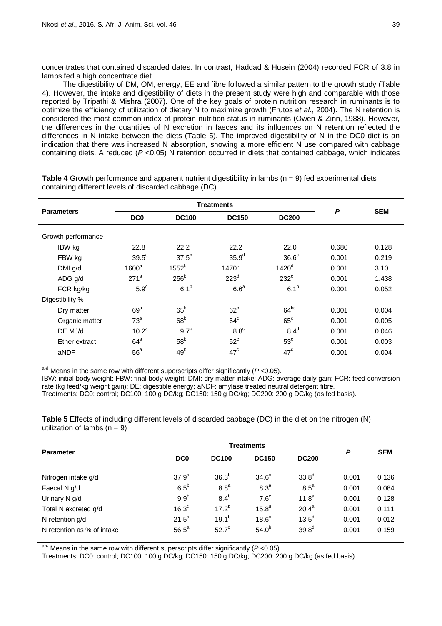concentrates that contained discarded dates. In contrast, Haddad & Husein (2004) recorded FCR of 3.8 in lambs fed a high concentrate diet.

The digestibility of DM, OM, energy, EE and fibre followed a similar pattern to the growth study (Table 4). However, the intake and digestibility of diets in the present study were high and comparable with those reported by Tripathi & Mishra (2007). One of the key goals of protein nutrition research in ruminants is to optimize the efficiency of utilization of dietary N to maximize growth (Frutos *et al*., 2004). The N retention is considered the most common index of protein nutrition status in ruminants (Owen & Zinn, 1988). However, the differences in the quantities of N excretion in faeces and its influences on N retention reflected the differences in N intake between the diets (Table 5). The improved digestibility of N in the DC0 diet is an indication that there was increased N absorption, showing a more efficient N use compared with cabbage containing diets. A reduced (*P* <0.05) N retention occurred in diets that contained cabbage, which indicates

|                    |                   | <b>Treatments</b>            | P                 |                   |       |            |
|--------------------|-------------------|------------------------------|-------------------|-------------------|-------|------------|
| <b>Parameters</b>  | DC <sub>0</sub>   | <b>DC150</b><br><b>DC100</b> |                   | <b>DC200</b>      |       | <b>SEM</b> |
| Growth performance |                   |                              |                   |                   |       |            |
| IBW kg             | 22.8              | 22.2                         | 22.2              | 22.0              | 0.680 | 0.128      |
| FBW kg             | 39.5 <sup>a</sup> | $37.5^{b}$                   | 35.9 <sup>d</sup> | 36.6 <sup>c</sup> | 0.001 | 0.219      |
| DMI g/d            | 1600 <sup>a</sup> | $1552^b$                     | $1470^\circ$      | 1420 <sup>d</sup> | 0.001 | 3.10       |
| ADG g/d            | $271^a$           | 256 <sup>b</sup>             | 223 <sup>d</sup>  | $232^{\circ}$     | 0.001 | 1.438      |
| FCR kg/kg          | $5.9^\circ$       | 6.1 <sup>b</sup>             | 6.6 <sup>a</sup>  | 6.1 <sup>b</sup>  | 0.001 | 0.052      |
| Digestibility %    |                   |                              |                   |                   |       |            |
| Dry matter         | 69 <sup>a</sup>   | $65^{\rm b}$                 | $62^{\circ}$      | $64^{bc}$         | 0.001 | 0.004      |
| Organic matter     | 73 <sup>a</sup>   | 68 <sup>b</sup>              | $64^{\circ}$      | $65^{\circ}$      | 0.001 | 0.005      |
| DE MJ/d            | 10.2 <sup>a</sup> | 9.7 <sup>b</sup>             | $8.8^\circ$       | 8.4 <sup>d</sup>  | 0.001 | 0.046      |
| Ether extract      | $64^{\circ}$      | 58 <sup>b</sup>              | $52^{\circ}$      | 53 <sup>c</sup>   | 0.001 | 0.003      |
| aNDF               | 56 <sup>a</sup>   | 49 <sup>b</sup>              | $47^{\circ}$      | $47^{\circ}$      | 0.001 | 0.004      |

**Table 4** Growth performance and apparent nutrient digestibility in lambs (n = 9) fed experimental diets containing different levels of discarded cabbage (DC)

a<sup>-d</sup> Means in the same row with different superscripts differ significantly (P<0.05).

IBW: initial body weight; FBW: final body weight; DMI: dry matter intake; ADG: average daily gain; FCR: feed conversion rate (kg feed/kg weight gain); DE: digestible energy; aNDF: amylase treated neutral detergent fibre.

Treatments: DC0: control; DC100: 100 g DC/kg; DC150: 150 g DC/kg; DC200: 200 g DC/kg (as fed basis).

**Table 5** Effects of including different levels of discarded cabbage (DC) in the diet on the nitrogen (N) utilization of lambs  $(n = 9)$ 

|                            | <b>Treatments</b> |                   |                   |                   | P     |            |
|----------------------------|-------------------|-------------------|-------------------|-------------------|-------|------------|
| <b>Parameter</b>           | DC <sub>0</sub>   | <b>DC100</b>      | <b>DC150</b>      | <b>DC200</b>      |       | <b>SEM</b> |
| Nitrogen intake g/d        | $37.9^{a}$        | 36.3 <sup>b</sup> | 34.6 <sup>c</sup> | 33.8 <sup>d</sup> | 0.001 | 0.136      |
| Faecal N g/d               | $6.5^b$           | 8.8 <sup>a</sup>  | 8.3 <sup>a</sup>  | $8.5^a$           | 0.001 | 0.084      |
| Urinary N g/d              | 9.9 <sup>b</sup>  | $8.4^b$           | $7.6^{\circ}$     | 11.8 <sup>a</sup> | 0.001 | 0.128      |
| Total N excreted g/d       | 16.3 <sup>c</sup> | $17.2^{b}$        | 15.8 <sup>d</sup> | $20.4^a$          | 0.001 | 0.111      |
| N retention g/d            | $21.5^a$          | $19.1^{b}$        | 18.6 <sup>c</sup> | 13.5 <sup>d</sup> | 0.001 | 0.012      |
| N retention as % of intake | $56.5^a$          | $52.7^{\circ}$    | $54.0^{b}$        | 39.8 <sup>d</sup> | 0.001 | 0.159      |

a<sup>-c</sup> Means in the same row with different superscripts differ significantly (P<0.05).

Treatments: DC0: control; DC100: 100 g DC/kg; DC150: 150 g DC/kg; DC200: 200 g DC/kg (as fed basis).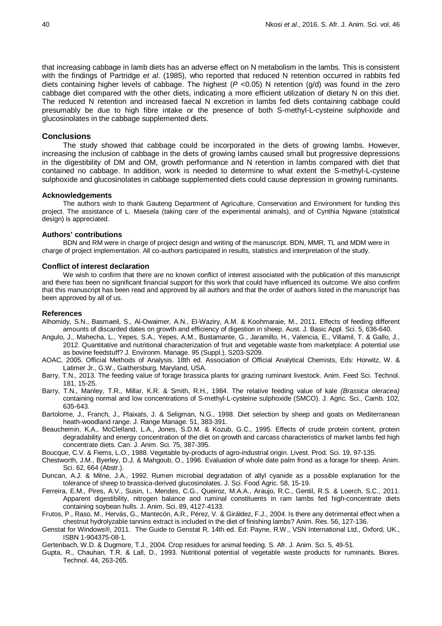that increasing cabbage in lamb diets has an adverse effect on N metabolism in the lambs. This is consistent with the findings of Partridge *et al*. (1985), who reported that reduced N retention occurred in rabbits fed diets containing higher levels of cabbage. The highest (P <0.05) N retention (g/d) was found in the zero cabbage diet compared with the other diets, indicating a more efficient utilization of dietary N on this diet. The reduced N retention and increased faecal N excretion in lambs fed diets containing cabbage could presumably be due to high fibre intake or the presence of both S-methyl-L-cysteine sulphoxide and glucosinolates in the cabbage supplemented diets.

## **Conclusions**

The study showed that cabbage could be incorporated in the diets of growing lambs. However, increasing the inclusion of cabbage in the diets of growing lambs caused small but progressive depressions in the digestibility of DM and OM, growth performance and N retention in lambs compared with diet that contained no cabbage. In addition, work is needed to determine to what extent the S-methyl-L-cysteine sulphoxide and glucosinolates in cabbage supplemented diets could cause depression in growing ruminants.

#### **Acknowledgements**

The authors wish to thank Gauteng Department of Agriculture, Conservation and Environment for funding this project. The assistance of L. Maesela (taking care of the experimental animals), and of Cynthia Ngwane (statistical design) is appreciated.

#### **Authors' contributions**

BDN and RM were in charge of project design and writing of the manuscript. BDN, MMR, TL and MDM were in charge of project implementation. All co-authors participated in results, statistics and interpretation of the study.

#### **Conflict of interest declaration**

We wish to confirm that there are no known conflict of interest associated with the publication of this manuscript and there has been no significant financial support for this work that could have influenced its outcome. We also confirm that this manuscript has been read and approved by all authors and that the order of authors listed in the manuscript has been approved by all of us.

## **References**

- Alhomidy, S.N., Basmaeil, S., Al-Owaimer, A.N., El-Waziry, A.M. & Koohmaraie, M., 2011. Effects of feeding different amounts of discarded dates on growth and efficiency of digestion in sheep. Aust. J. Basic Appl. Sci. 5, 636-640.
- Angulo, J., Mahecha, L., Yepes, S.A., Yepes, A.M., Bustamante, G., Jaramillo, H., Valencia, E., Villamil, T. & Gallo, J., 2012. Quantitative and nutritional characterization of fruit and vegetable waste from marketplace: A potential use as bovine feedstuff? J. Environm. Manage. 95 (Suppl.), S203-S209.
- AOAC, 2005. Official Methods of Analysis. 18th ed. Association of Official Analytical Chemists, Eds: Horwitz, W. & Latimer Jr., G.W., Gaithersburg, Maryland, USA.
- Barry, T.N., 2013. The feeding value of forage brassica plants for grazing ruminant livestock. Anim. Feed Sci. Technol. 181, 15-25.
- Barry, T.N., Manley, T.R., Millar, K.R. & Smith, R.H., 1984. The relative feeding value of kale *(Brassica oleracea)* containing normal and low concentrations of S-methyl-L-cysteine sulphoxide (SMCO). J. Agric. Sci., Camb. 102, 635-643.
- Bartolome, J., Franch, J., Plaixats, J. & Seligman, N.G., 1998. Diet selection by sheep and goats on Mediterranean heath-woodland range. J. Range Manage. 51, 383-391.
- Beauchemin, K.A., McClelland, L.A., Jones, S.D.M. & Kozub, G.C., 1995. Effects of crude protein content, protein degradability and energy concentration of the diet on growth and carcass characteristics of market lambs fed high concentrate diets. Can. J. Anim. Sci. 75, 387-395.
- Boucque, C.V. & Fiems, L.O., 1988. Vegetable by-products of agro-industrial origin. Livest. Prod. Sci. 19, 97-135.
- Chestworth, J.M., Byerley, D.J. & Mahgoub, O., 1996. Evaluation of whole date palm frond as a forage for sheep. Anim. Sci. 62, 664 (Abstr.).
- Duncan, A.J. & Milne, J.A., 1992. Rumen microbial degradation of allyl cyanide as a possible explanation for the tolerance of sheep to brassica-derived glucosinolates. J. Sci. Food Agric. 58, 15-19.
- Ferreira, E.M., Pires, A.V., Susin, I., Mendes, C.G., Queiroz, M.A.A., Araujo, R.C., Gentil, R.S. & Loerch, S.C., 2011. Apparent digestibility, nitrogen balance and ruminal constituents in ram lambs fed high-concentrate diets containing soybean hulls. J. Anim. Sci. 89, 4127-4133.
- Frutos, P., Raso, M., Hervás, G., Mantecón, A.R., Pérez, V. & Giráldez, F.J., 2004. Is there any detrimental effect when a chestnut hydrolyzable tannins extract is included in the diet of finishing lambs? Anim. Res. 56, 127-136.
- Genstat for Windows®, 2011. The Guide to Genstat R, 14th ed. Ed: Payne, R.W., VSN International Ltd., Oxford, UK., ISBN 1-904375-08-1.
- Gertenbach, W.D. & Dugmore, T.J., 2004. Crop residues for animal feeding. S. Afr. J. Anim. Sci. 5, 49-51.
- Gupta, R., Chauhan, T.R. & Lall, D., 1993. Nutritional potential of vegetable waste products for ruminants. Biores. Technol. 44, 263-265.